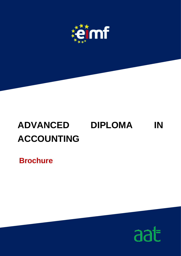

# **ADVANCED DIPLOMA IN ACCOUNTING**

**Brochure**

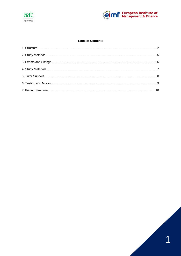



# **Table of Contents**

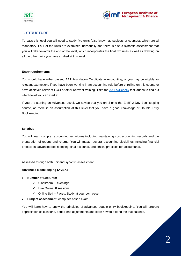



# <span id="page-2-0"></span>**1. STRUCTURE**

To pass this level you will need to study five units (also known as subjects or courses), which are all mandatory. Four of the units are examined individually and there is also a synoptic assessment that you will take towards the end of the level, which incorporates the final two units as well as drawing on all the other units you have studied at this level.

# **Entry requirements**

You should have either passed AAT Foundation Certificate in Accounting, or you may be eligible for relevant exemptions if you have been working in an accounting role before enrolling on this course or have achieved relevant LCCI or other relevant training. Take the [AAT skillcheck](https://www.aat.org.uk/aat-qualifications-and-courses/need-help-choosing-a-qualification/aat-skillcheck) test launch to find out which level you can start at.

If you are starting on Advanced Level, we advise that you enrol onto the EIMF 2 Day Bookkeeping course, as there is an assumption at this level that you have a good knowledge of Double Entry Bookkeeping.

# **Syllabus**

You will learn complex accounting techniques including maintaining cost accounting records and the preparation of reports and returns. You will master several accounting disciplines including financial processes, advanced bookkeeping, final accounts, and ethical practices for accountants.

Assessed through both unit and synoptic assessment:

# **Advanced Bookkeeping (AVBK)**

- **Number of Lectures:**
	- $\checkmark$  Classroom: 8 evenings
	- ✓ Live Online: 8 sessions
	- ✓ Online Self Paced: Study at your own pace
- **Subject assessment**: computer-based exam

You will learn how to apply the principles of advanced double entry bookkeeping. You will prepare depreciation calculations, period-end adjustments and learn how to extend the trial balance.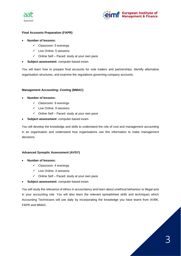



# **Final Accounts Preparation (FAPR)**

- **Number of lessons:**
	- ✓ Classroom: 5 evenings
	- ✓ Live Online: 5 sessions
	- $\checkmark$  Online Self Paced: study at your own pace
- **Subject assessment**: computer-based exam

You will learn how to prepare final accounts for sole traders and partnerships, identify alternative organisation structures, and examine the regulations governing company accounts.

# **Management Accounting: Costing (MMAC)**

- **Number of lessons:**
	- ✓ Classroom: 9 evenings
	- ✓ Live Online: 9 sessions
	- $\checkmark$  Online Self Paced: study at your own pace
- **Subject assessment**: computer-based exam

You will develop the knowledge and skills to understand the role of cost and management accounting in an organisation and understand how organisations use this information to make management decisions.

# **Advanced Synoptic Assessment (AVSY)**

- **Number of lessons:**
	- ✓ Classroom: 4 evenings
	- ✓ Live Online: 4 sessions
	- ✓ Online Self Paced: study at your own pace
- **Subject assessment**: computer-based exam

You will study the relevance of ethics in accountancy and learn about unethical behaviour or illegal acts in your accounting role. You will also learn the relevant spreadsheet skills and techniques which Accounting Technicians will use daily by incorporating the knowledge you have learnt from AVBK, FAPR and MMAC.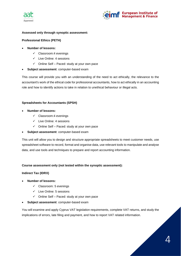



# **Assessed only through synoptic assessment:**

# **Professional Ethics (PETH)**

- **Number of lessons:**
	- ✓ Classroom:4 evenings
	- ✓ Live Online: 4 sessions
	- $\checkmark$  Online Self Paced: study at your own pace
- **Subject assessment**: computer-based exam

This course will provide you with an understanding of the need to act ethically, the relevance to the accountant's work of the ethical code for professional accountants, how to act ethically in an accounting role and how to identify actions to take in relation to unethical behaviour or illegal acts.

# **Spreadsheets for Accountants (SPSH)**

- **Number of lessons:**
	- ✓ Classroom:4 evenings
	- ✓ Live Online: 4 sessions
	- ✓ Online Self Paced: study at your own pace
- **Subject assessment**: computer-based exam

This unit will allow you to design and structure appropriate spreadsheets to meet customer needs, use spreadsheet software to record, format and organise data, use relevant tools to manipulate and analyse data, and use tools and techniques to prepare and report accounting information.

# **Course assessment only (not tested within the synoptic assessment):**

# **Indirect Tax (IDRX)**

- **Number of lessons:**
	- $\checkmark$  Classroom: 5 evenings
	- ✓ Live Online: 5 sessions
	- ✓ Online Self Paced: study at your own pace
- **Subject assessment**: computer-based exam

You will examine and apply Cyprus VAT legislation requirements, complete VAT returns, and study the implications of errors, late filing and payment, and how to report VAT related information.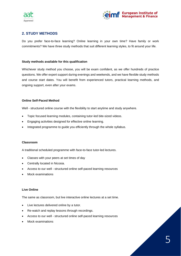



# <span id="page-5-0"></span>**2. STUDY METHODS**

Do you prefer face-to-face learning? Online learning in your own time? Have family or work commitments? We have three study methods that suit different learning styles, to fit around your life.

# **Study methods available for this qualification**

Whichever study method you choose, you will be exam confident, as we offer hundreds of practice questions. We offer expert support during evenings and weekends, and we have flexible study methods and course start dates. You will benefit from experienced tutors, practical learning methods, and ongoing support, even after your exams.

#### **Online Self-Paced Method**

Well - structured online course with the flexibility to start anytime and study anywhere.

- Topic focused learning modules, containing tutor-led bite-sized videos.
- Engaging activities designed for effective online learning.
- Integrated programme to guide you efficiently through the whole syllabus.

#### **Classroom**

A traditional scheduled programme with face-to-face tutor-led lectures.

- Classes with your peers at set times of day
- Centrally located in Nicosia.
- Access to our well structured online self-paced learning resources
- Mock examinations

#### **Live Online**

The same as classroom, but live interactive online lectures at a set time.

- Live lectures delivered online by a tutor.
- Re-watch and replay lessons through recordings.
- Access to our well structured online self-paced learning resources
- Mock examinations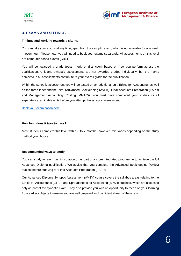



# <span id="page-6-0"></span>**3. EXAMS AND SITTINGS**

#### **Timings and working towards a sitting.**

You can take your exams at any time, apart from the synoptic exam, which is not available for one week in every four. Please note, you will need to book your exams separately. All assessments on this level are computer-based exams (CBE).

You will be awarded a grade (pass, merit, or distinction) based on how you perform across the qualification. Unit and synoptic assessments are not awarded grades individually, but the marks achieved in all assessments contribute to your overall grade for the qualification.

Within the synoptic assessment you will be tested on an additional unit, Ethics for Accounting, as well as the three independent units, (Advanced Bookkeeping (AVBK), Final Accounts Preparation (FAPR) and Management Accounting: Costing (MMAC)). You must have completed your studies for all separately examinable units before you attempt the synoptic assessment.

#### [Book your examination here](https://eimf.eu/aat-examination-registration-form/)

#### **How long does it take to pass?**

Most students complete this level within 6 to 7 months; however, this varies depending on the study method you choose.

#### **Recommended ways to study.**

You can study for each unit in isolation or as part of a more integrated programme to achieve the full Advanced Diploma qualification. We advise that you complete the Advanced Bookkeeping (AVBK) subject before studying for Final Accounts Preparation (FAPR).

Our Advanced Diploma Synoptic Assessment (AVSY) course covers the syllabus areas relating to the Ethics for Accountants (ETFA) and Spreadsheets for Accounting (SPSH) subjects, which are assessed only as part of the synoptic exam. They also provide you with an opportunity to recap on your learning from earlier subjects to ensure you are well prepared and confident ahead of the exam.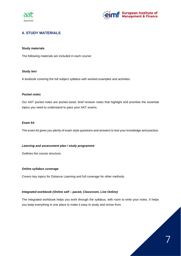



7

# <span id="page-7-0"></span>**4. STUDY MATERIALS**

#### **Study materials**

The following materials are included in each course:

#### *Study text*

A textbook covering the full subject syllabus with worked examples and activities.

#### *Pocket notes*

Our AAT pocket notes are pocket-sized, brief revision notes that highlight and prioritise the essential topics you need to understand to pass your AAT exams.

#### *Exam kit*

The exam kit gives you plenty of exam style questions and answers to test your knowledge and practice.

#### *Learning and assessment plan / study programme*

Outlines the course structure.

#### *Online syllabus coverage*

Covers key topics for Distance Learning and full coverage for other methods.

# *Integrated workbook (Online self – paced, Classroom, Live Online)*

The integrated workbook helps you work through the syllabus, with room to write your notes. It helps you keep everything in one place to make it easy to study and revise from.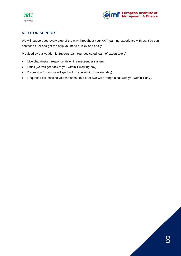



# <span id="page-8-0"></span>**5. TUTOR SUPPORT**

We will support you every step of the way throughout your AAT learning experience with us. You can contact a tutor and get the help you need quickly and easily.

Provided by our Academic Support team (our dedicated team of expert tutors):

- Live chat (instant response via online messenger system)
- Email (we will get back to you within 1 working day)
- Discussion forum (we will get back to you within 1 working day)
- Request a call back so you can speak to a tutor (we will arrange a call with you within 1 day).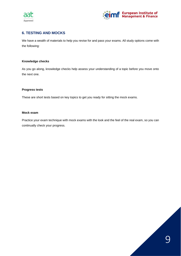



# <span id="page-9-0"></span>**6. TESTING AND MOCKS**

We have a wealth of materials to help you revise for and pass your exams. All study options come with the following:

# **Knowledge checks**

As you go along, knowledge checks help assess your understanding of a topic before you move onto the next one.

#### **Progress tests**

These are short tests based on key topics to get you ready for sitting the mock exams.

#### **Mock exam**

Practice your exam technique with mock exams with the look and the feel of the real exam, so you can continually check your progress.